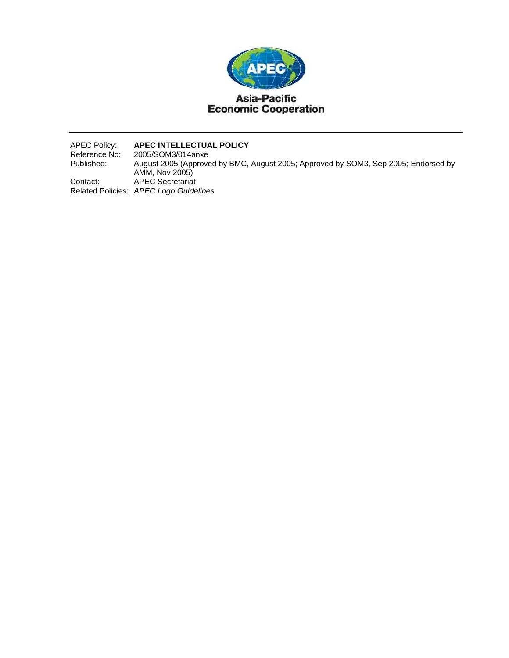

APEC Policy: **APEC INTELLECTUAL POLICY**  Reference No: 2005/SOM3/014anxe<br>Published: August 2005 (Approve August 2005 (Approved by BMC, August 2005; Approved by SOM3, Sep 2005; Endorsed by AMM, Nov 2005) Contact: APEC Secretariat Related Policies: *APEC Logo Guidelines*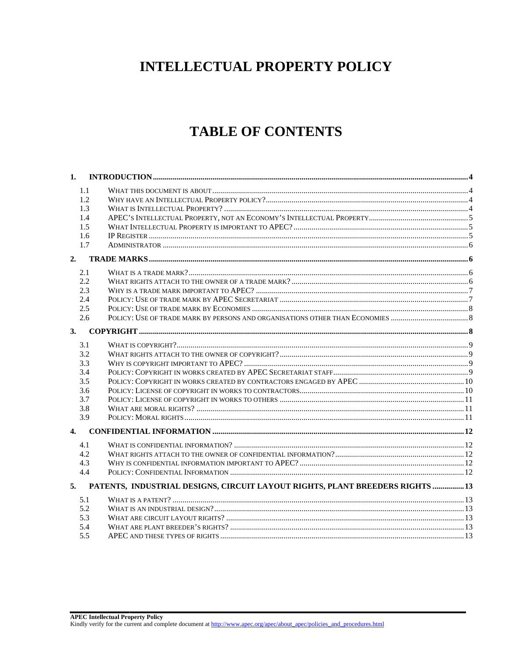# **INTELLECTUAL PROPERTY POLICY**

# **TABLE OF CONTENTS**

| 1.1 |                                                                                  |  |
|-----|----------------------------------------------------------------------------------|--|
| 1.2 |                                                                                  |  |
| 1.3 |                                                                                  |  |
| 1.4 |                                                                                  |  |
| 1.5 |                                                                                  |  |
| 1.6 |                                                                                  |  |
| 1.7 |                                                                                  |  |
|     |                                                                                  |  |
| 2.1 |                                                                                  |  |
| 2.2 |                                                                                  |  |
| 2.3 |                                                                                  |  |
| 2.4 |                                                                                  |  |
| 2.5 |                                                                                  |  |
| 2.6 |                                                                                  |  |
|     |                                                                                  |  |
| 3.  |                                                                                  |  |
| 3.1 |                                                                                  |  |
| 3.2 |                                                                                  |  |
| 3.3 |                                                                                  |  |
| 3.4 |                                                                                  |  |
| 3.5 |                                                                                  |  |
| 3.6 |                                                                                  |  |
| 3.7 |                                                                                  |  |
| 3.8 |                                                                                  |  |
| 3.9 |                                                                                  |  |
| 4.  |                                                                                  |  |
| 4.1 |                                                                                  |  |
| 4.2 |                                                                                  |  |
| 4.3 |                                                                                  |  |
| 4.4 |                                                                                  |  |
|     | 5. PATENTS, INDUSTRIAL DESIGNS, CIRCUIT LAYOUT RIGHTS, PLANT BREEDERS RIGHTS  13 |  |
|     |                                                                                  |  |
| 5.1 |                                                                                  |  |
| 5.2 |                                                                                  |  |
| 5.3 |                                                                                  |  |
| 5.4 |                                                                                  |  |
| 5.5 |                                                                                  |  |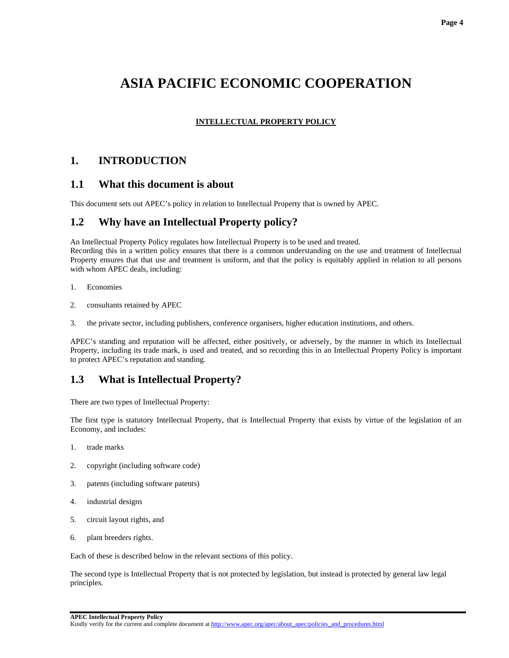#### **Page 4**

# **ASIA PACIFIC ECONOMIC COOPERATION**

#### **INTELLECTUAL PROPERTY POLICY**

#### **1. INTRODUCTION**

#### **1.1 What this document is about**

This document sets out APEC's policy in relation to Intellectual Property that is owned by APEC.

#### **1.2 Why have an Intellectual Property policy?**

An Intellectual Property Policy regulates how Intellectual Property is to be used and treated.

Recording this in a written policy ensures that there is a common understanding on the use and treatment of Intellectual Property ensures that that use and treatment is uniform, and that the policy is equitably applied in relation to all persons with whom APEC deals, including:

- 1. Economies
- 2. consultants retained by APEC
- 3. the private sector, including publishers, conference organisers, higher education institutions, and others.

APEC's standing and reputation will be affected, either positively, or adversely, by the manner in which its Intellectual Property, including its trade mark, is used and treated, and so recording this in an Intellectual Property Policy is important to protect APEC's reputation and standing.

#### **1.3 What is Intellectual Property?**

There are two types of Intellectual Property:

The first type is statutory Intellectual Property, that is Intellectual Property that exists by virtue of the legislation of an Economy, and includes:

- 1. trade marks
- 2. copyright (including software code)
- 3. patents (including software patents)
- 4. industrial designs
- 5. circuit layout rights, and
- 6. plant breeders rights.

Each of these is described below in the relevant sections of this policy.

The second type is Intellectual Property that is not protected by legislation, but instead is protected by general law legal principles.

**APEC Intellectual Property Policy** 

Kindly verify for the current and complete document at http://www.apec.org/apec/about\_apec/policies\_and\_procedures.html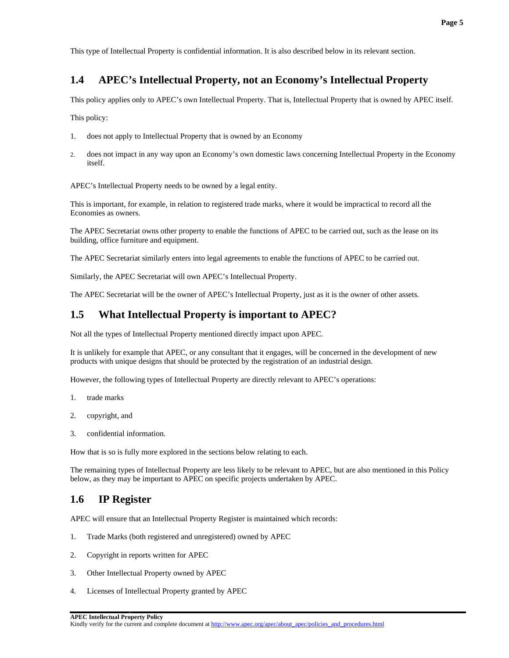## **1.4 APEC's Intellectual Property, not an Economy's Intellectual Property**

This policy applies only to APEC's own Intellectual Property. That is, Intellectual Property that is owned by APEC itself.

This policy:

- 1. does not apply to Intellectual Property that is owned by an Economy
- 2. does not impact in any way upon an Economy's own domestic laws concerning Intellectual Property in the Economy itself.

APEC's Intellectual Property needs to be owned by a legal entity.

This is important, for example, in relation to registered trade marks, where it would be impractical to record all the Economies as owners.

The APEC Secretariat owns other property to enable the functions of APEC to be carried out, such as the lease on its building, office furniture and equipment.

The APEC Secretariat similarly enters into legal agreements to enable the functions of APEC to be carried out.

Similarly, the APEC Secretariat will own APEC's Intellectual Property.

The APEC Secretariat will be the owner of APEC's Intellectual Property, just as it is the owner of other assets.

#### **1.5 What Intellectual Property is important to APEC?**

Not all the types of Intellectual Property mentioned directly impact upon APEC.

It is unlikely for example that APEC, or any consultant that it engages, will be concerned in the development of new products with unique designs that should be protected by the registration of an industrial design.

However, the following types of Intellectual Property are directly relevant to APEC's operations:

- 1. trade marks
- 2. copyright, and
- 3. confidential information.

How that is so is fully more explored in the sections below relating to each.

The remaining types of Intellectual Property are less likely to be relevant to APEC, but are also mentioned in this Policy below, as they may be important to APEC on specific projects undertaken by APEC.

## **1.6 IP Register**

APEC will ensure that an Intellectual Property Register is maintained which records:

- 1. Trade Marks (both registered and unregistered) owned by APEC
- 2. Copyright in reports written for APEC
- 3. Other Intellectual Property owned by APEC
- 4. Licenses of Intellectual Property granted by APEC

**APEC Intellectual Property Policy**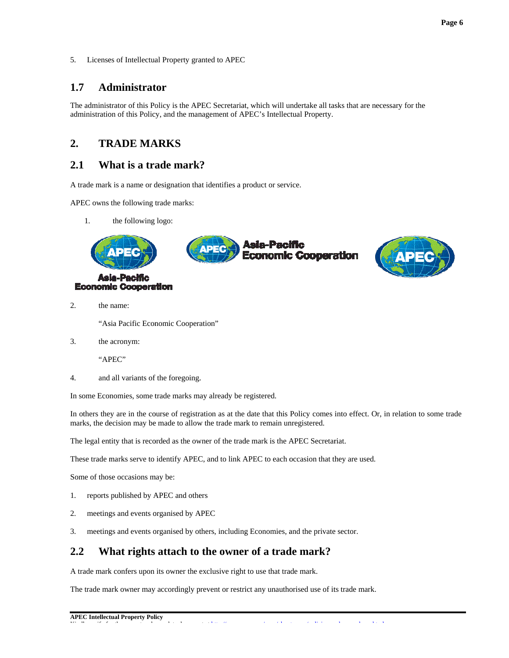Licenses of Intellectual Property granted to APEC 5.

#### $1.7$ **Administrator**

The administrator of this Policy is the APEC Secretariat, which will undertake all tasks that are necessary for the administration of this Policy, and the management of APEC's Intellectual Property.

#### $2.$ **TRADE MARKS**

#### $2.1$ What is a trade mark?

A trade mark is a name or designation that identifies a product or service.

APEC owns the following trade marks:

1. the following logo:

**Economic Cooperation** 





 $\overline{2}$ . the name:

"Asia Pacific Economic Cooperation"

 $\overline{3}$ . the acronym:

"APEC"

 $\overline{4}$ . and all variants of the foregoing.

In some Economies, some trade marks may already be registered.

In others they are in the course of registration as at the date that this Policy comes into effect. Or, in relation to some trade marks, the decision may be made to allow the trade mark to remain unregistered.

The legal entity that is recorded as the owner of the trade mark is the APEC Secretariat.

These trade marks serve to identify APEC, and to link APEC to each occasion that they are used.

Some of those occasions may be:

- reports published by APEC and others 1.
- $\overline{2}$ . meetings and events organised by APEC
- 3. meetings and events organised by others, including Economies, and the private sector.

#### $2.2$ What rights attach to the owner of a trade mark?

A trade mark confers upon its owner the exclusive right to use that trade mark.

The trade mark owner may accordingly prevent or restrict any unauthorised use of its trade mark.

 $\sim$  4  $\,$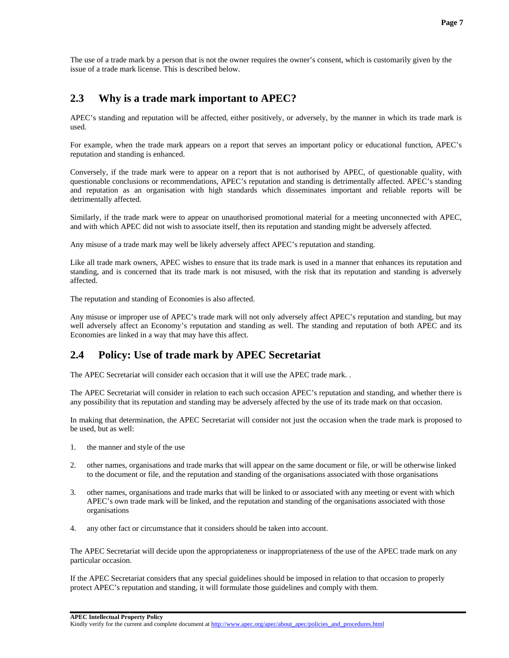The use of a trade mark by a person that is not the owner requires the owner's consent, which is customarily given by the issue of a trade mark license. This is described below.

#### **2.3 Why is a trade mark important to APEC?**

APEC's standing and reputation will be affected, either positively, or adversely, by the manner in which its trade mark is used.

For example, when the trade mark appears on a report that serves an important policy or educational function, APEC's reputation and standing is enhanced.

Conversely, if the trade mark were to appear on a report that is not authorised by APEC, of questionable quality, with questionable conclusions or recommendations, APEC's reputation and standing is detrimentally affected. APEC's standing and reputation as an organisation with high standards which disseminates important and reliable reports will be detrimentally affected.

Similarly, if the trade mark were to appear on unauthorised promotional material for a meeting unconnected with APEC, and with which APEC did not wish to associate itself, then its reputation and standing might be adversely affected.

Any misuse of a trade mark may well be likely adversely affect APEC's reputation and standing.

Like all trade mark owners, APEC wishes to ensure that its trade mark is used in a manner that enhances its reputation and standing, and is concerned that its trade mark is not misused, with the risk that its reputation and standing is adversely affected.

The reputation and standing of Economies is also affected.

Any misuse or improper use of APEC's trade mark will not only adversely affect APEC's reputation and standing, but may well adversely affect an Economy's reputation and standing as well. The standing and reputation of both APEC and its Economies are linked in a way that may have this affect.

#### **2.4 Policy: Use of trade mark by APEC Secretariat**

The APEC Secretariat will consider each occasion that it will use the APEC trade mark. .

The APEC Secretariat will consider in relation to each such occasion APEC's reputation and standing, and whether there is any possibility that its reputation and standing may be adversely affected by the use of its trade mark on that occasion.

In making that determination, the APEC Secretariat will consider not just the occasion when the trade mark is proposed to be used, but as well:

- 1. the manner and style of the use
- 2. other names, organisations and trade marks that will appear on the same document or file, or will be otherwise linked to the document or file, and the reputation and standing of the organisations associated with those organisations
- 3. other names, organisations and trade marks that will be linked to or associated with any meeting or event with which APEC's own trade mark will be linked, and the reputation and standing of the organisations associated with those organisations
- 4. any other fact or circumstance that it considers should be taken into account.

The APEC Secretariat will decide upon the appropriateness or inappropriateness of the use of the APEC trade mark on any particular occasion.

If the APEC Secretariat considers that any special guidelines should be imposed in relation to that occasion to properly protect APEC's reputation and standing, it will formulate those guidelines and comply with them.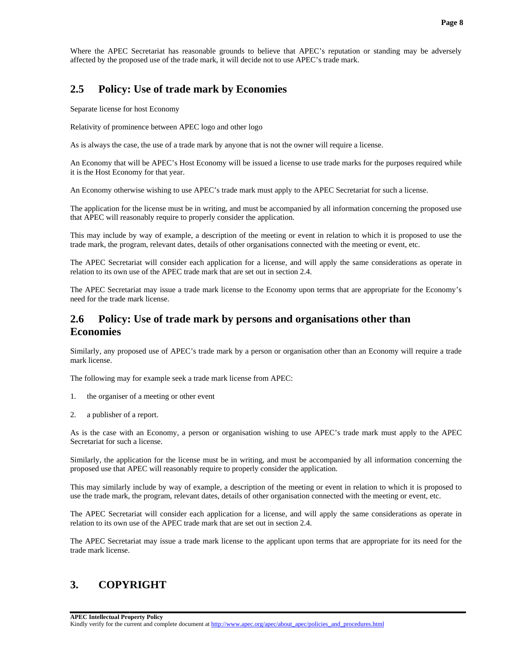Where the APEC Secretariat has reasonable grounds to believe that APEC's reputation or standing may be adversely affected by the proposed use of the trade mark, it will decide not to use APEC's trade mark.

#### **2.5 Policy: Use of trade mark by Economies**

Separate license for host Economy

Relativity of prominence between APEC logo and other logo

As is always the case, the use of a trade mark by anyone that is not the owner will require a license.

An Economy that will be APEC's Host Economy will be issued a license to use trade marks for the purposes required while it is the Host Economy for that year.

An Economy otherwise wishing to use APEC's trade mark must apply to the APEC Secretariat for such a license.

The application for the license must be in writing, and must be accompanied by all information concerning the proposed use that APEC will reasonably require to properly consider the application.

This may include by way of example, a description of the meeting or event in relation to which it is proposed to use the trade mark, the program, relevant dates, details of other organisations connected with the meeting or event, etc.

The APEC Secretariat will consider each application for a license, and will apply the same considerations as operate in relation to its own use of the APEC trade mark that are set out in section 2.4.

The APEC Secretariat may issue a trade mark license to the Economy upon terms that are appropriate for the Economy's need for the trade mark license.

#### **2.6 Policy: Use of trade mark by persons and organisations other than Economies**

Similarly, any proposed use of APEC's trade mark by a person or organisation other than an Economy will require a trade mark license.

The following may for example seek a trade mark license from APEC:

- 1. the organiser of a meeting or other event
- 2. a publisher of a report.

As is the case with an Economy, a person or organisation wishing to use APEC's trade mark must apply to the APEC Secretariat for such a license.

Similarly, the application for the license must be in writing, and must be accompanied by all information concerning the proposed use that APEC will reasonably require to properly consider the application.

This may similarly include by way of example, a description of the meeting or event in relation to which it is proposed to use the trade mark, the program, relevant dates, details of other organisation connected with the meeting or event, etc.

The APEC Secretariat will consider each application for a license, and will apply the same considerations as operate in relation to its own use of the APEC trade mark that are set out in section 2.4.

The APEC Secretariat may issue a trade mark license to the applicant upon terms that are appropriate for its need for the trade mark license.

#### **3. COPYRIGHT**

**APEC Intellectual Property Policy**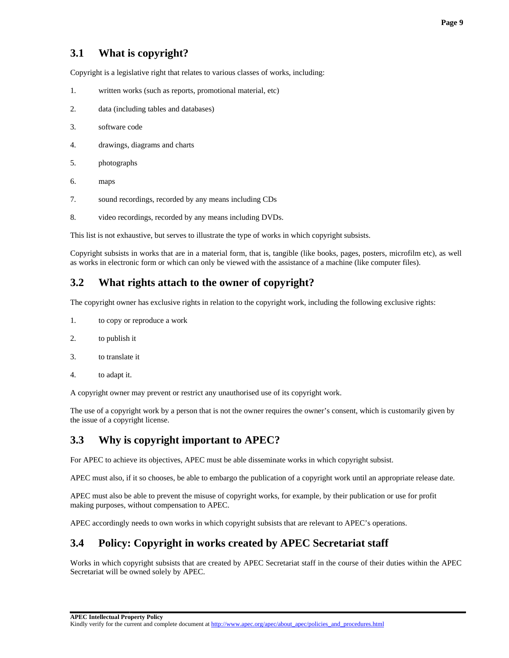# **3.1 What is copyright?**

Copyright is a legislative right that relates to various classes of works, including:

- 1. written works (such as reports, promotional material, etc)
- 2. data (including tables and databases)
- 3. software code
- 4. drawings, diagrams and charts
- 5. photographs
- 6. maps
- 7. sound recordings, recorded by any means including CDs
- 8. video recordings, recorded by any means including DVDs.

This list is not exhaustive, but serves to illustrate the type of works in which copyright subsists.

Copyright subsists in works that are in a material form, that is, tangible (like books, pages, posters, microfilm etc), as well as works in electronic form or which can only be viewed with the assistance of a machine (like computer files).

#### **3.2 What rights attach to the owner of copyright?**

The copyright owner has exclusive rights in relation to the copyright work, including the following exclusive rights:

- 1. to copy or reproduce a work
- 2. to publish it
- 3. to translate it
- 4. to adapt it.

A copyright owner may prevent or restrict any unauthorised use of its copyright work.

The use of a copyright work by a person that is not the owner requires the owner's consent, which is customarily given by the issue of a copyright license.

## **3.3 Why is copyright important to APEC?**

For APEC to achieve its objectives, APEC must be able disseminate works in which copyright subsist.

APEC must also, if it so chooses, be able to embargo the publication of a copyright work until an appropriate release date.

APEC must also be able to prevent the misuse of copyright works, for example, by their publication or use for profit making purposes, without compensation to APEC.

APEC accordingly needs to own works in which copyright subsists that are relevant to APEC's operations.

# **3.4 Policy: Copyright in works created by APEC Secretariat staff**

Works in which copyright subsists that are created by APEC Secretariat staff in the course of their duties within the APEC Secretariat will be owned solely by APEC.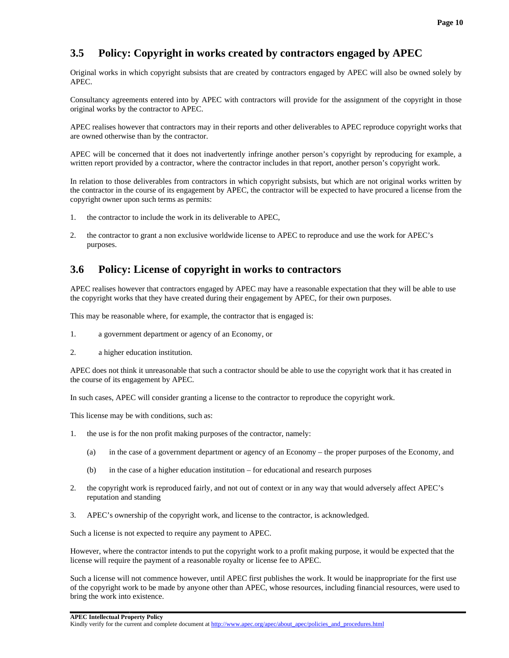## **3.5 Policy: Copyright in works created by contractors engaged by APEC**

Original works in which copyright subsists that are created by contractors engaged by APEC will also be owned solely by APEC.

Consultancy agreements entered into by APEC with contractors will provide for the assignment of the copyright in those original works by the contractor to APEC.

APEC realises however that contractors may in their reports and other deliverables to APEC reproduce copyright works that are owned otherwise than by the contractor.

APEC will be concerned that it does not inadvertently infringe another person's copyright by reproducing for example, a written report provided by a contractor, where the contractor includes in that report, another person's copyright work.

In relation to those deliverables from contractors in which copyright subsists, but which are not original works written by the contractor in the course of its engagement by APEC, the contractor will be expected to have procured a license from the copyright owner upon such terms as permits:

- 1. the contractor to include the work in its deliverable to APEC,
- 2. the contractor to grant a non exclusive worldwide license to APEC to reproduce and use the work for APEC's purposes.

#### **3.6 Policy: License of copyright in works to contractors**

APEC realises however that contractors engaged by APEC may have a reasonable expectation that they will be able to use the copyright works that they have created during their engagement by APEC, for their own purposes.

This may be reasonable where, for example, the contractor that is engaged is:

- 1. a government department or agency of an Economy, or
- 2. a higher education institution.

APEC does not think it unreasonable that such a contractor should be able to use the copyright work that it has created in the course of its engagement by APEC.

In such cases, APEC will consider granting a license to the contractor to reproduce the copyright work.

This license may be with conditions, such as:

- 1. the use is for the non profit making purposes of the contractor, namely:
	- (a) in the case of a government department or agency of an Economy the proper purposes of the Economy, and
	- (b) in the case of a higher education institution for educational and research purposes
- 2. the copyright work is reproduced fairly, and not out of context or in any way that would adversely affect APEC's reputation and standing
- 3. APEC's ownership of the copyright work, and license to the contractor, is acknowledged.

Such a license is not expected to require any payment to APEC.

However, where the contractor intends to put the copyright work to a profit making purpose, it would be expected that the license will require the payment of a reasonable royalty or license fee to APEC.

Such a license will not commence however, until APEC first publishes the work. It would be inappropriate for the first use of the copyright work to be made by anyone other than APEC, whose resources, including financial resources, were used to bring the work into existence.

#### **APEC Intellectual Property Policy**

Kindly verify for the current and complete document at http://www.apec.org/apec/about\_apec/policies\_and\_procedures.html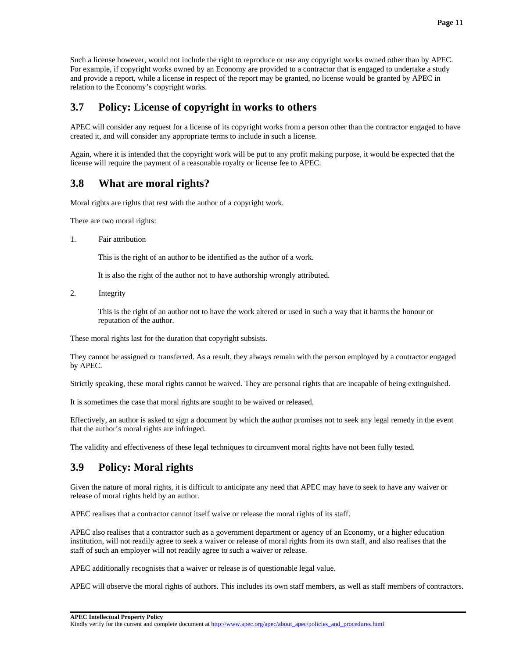Such a license however, would not include the right to reproduce or use any copyright works owned other than by APEC. For example, if copyright works owned by an Economy are provided to a contractor that is engaged to undertake a study and provide a report, while a license in respect of the report may be granted, no license would be granted by APEC in relation to the Economy's copyright works.

#### **3.7 Policy: License of copyright in works to others**

APEC will consider any request for a license of its copyright works from a person other than the contractor engaged to have created it, and will consider any appropriate terms to include in such a license.

Again, where it is intended that the copyright work will be put to any profit making purpose, it would be expected that the license will require the payment of a reasonable royalty or license fee to APEC.

## **3.8 What are moral rights?**

Moral rights are rights that rest with the author of a copyright work.

There are two moral rights:

1. Fair attribution

This is the right of an author to be identified as the author of a work.

It is also the right of the author not to have authorship wrongly attributed.

2. Integrity

 This is the right of an author not to have the work altered or used in such a way that it harms the honour or reputation of the author.

These moral rights last for the duration that copyright subsists.

They cannot be assigned or transferred. As a result, they always remain with the person employed by a contractor engaged by APEC.

Strictly speaking, these moral rights cannot be waived. They are personal rights that are incapable of being extinguished.

It is sometimes the case that moral rights are sought to be waived or released.

Effectively, an author is asked to sign a document by which the author promises not to seek any legal remedy in the event that the author's moral rights are infringed.

The validity and effectiveness of these legal techniques to circumvent moral rights have not been fully tested.

## **3.9 Policy: Moral rights**

Given the nature of moral rights, it is difficult to anticipate any need that APEC may have to seek to have any waiver or release of moral rights held by an author.

APEC realises that a contractor cannot itself waive or release the moral rights of its staff.

APEC also realises that a contractor such as a government department or agency of an Economy, or a higher education institution, will not readily agree to seek a waiver or release of moral rights from its own staff, and also realises that the staff of such an employer will not readily agree to such a waiver or release.

APEC additionally recognises that a waiver or release is of questionable legal value.

APEC will observe the moral rights of authors. This includes its own staff members, as well as staff members of contractors.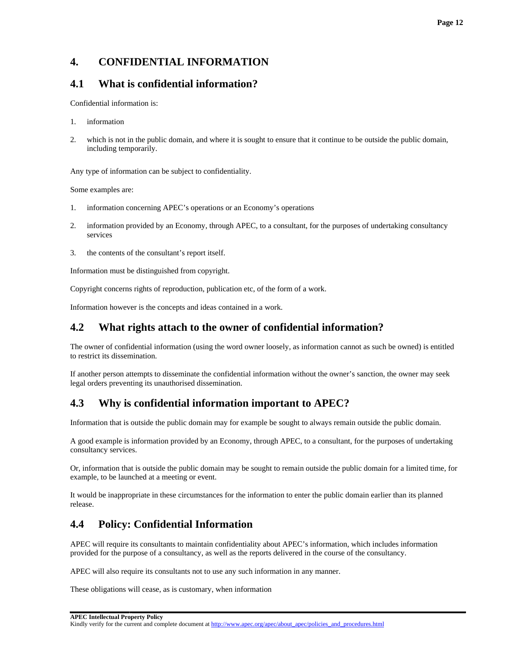# **4. CONFIDENTIAL INFORMATION**

### **4.1 What is confidential information?**

Confidential information is:

- 1. information
- 2. which is not in the public domain, and where it is sought to ensure that it continue to be outside the public domain, including temporarily.

Any type of information can be subject to confidentiality.

Some examples are:

- 1. information concerning APEC's operations or an Economy's operations
- 2. information provided by an Economy, through APEC, to a consultant, for the purposes of undertaking consultancy services
- 3. the contents of the consultant's report itself.

Information must be distinguished from copyright.

Copyright concerns rights of reproduction, publication etc, of the form of a work.

Information however is the concepts and ideas contained in a work.

### **4.2 What rights attach to the owner of confidential information?**

The owner of confidential information (using the word owner loosely, as information cannot as such be owned) is entitled to restrict its dissemination.

If another person attempts to disseminate the confidential information without the owner's sanction, the owner may seek legal orders preventing its unauthorised dissemination.

# **4.3 Why is confidential information important to APEC?**

Information that is outside the public domain may for example be sought to always remain outside the public domain.

A good example is information provided by an Economy, through APEC, to a consultant, for the purposes of undertaking consultancy services.

Or, information that is outside the public domain may be sought to remain outside the public domain for a limited time, for example, to be launched at a meeting or event.

It would be inappropriate in these circumstances for the information to enter the public domain earlier than its planned release.

# **4.4 Policy: Confidential Information**

APEC will require its consultants to maintain confidentiality about APEC's information, which includes information provided for the purpose of a consultancy, as well as the reports delivered in the course of the consultancy.

APEC will also require its consultants not to use any such information in any manner.

These obligations will cease, as is customary, when information